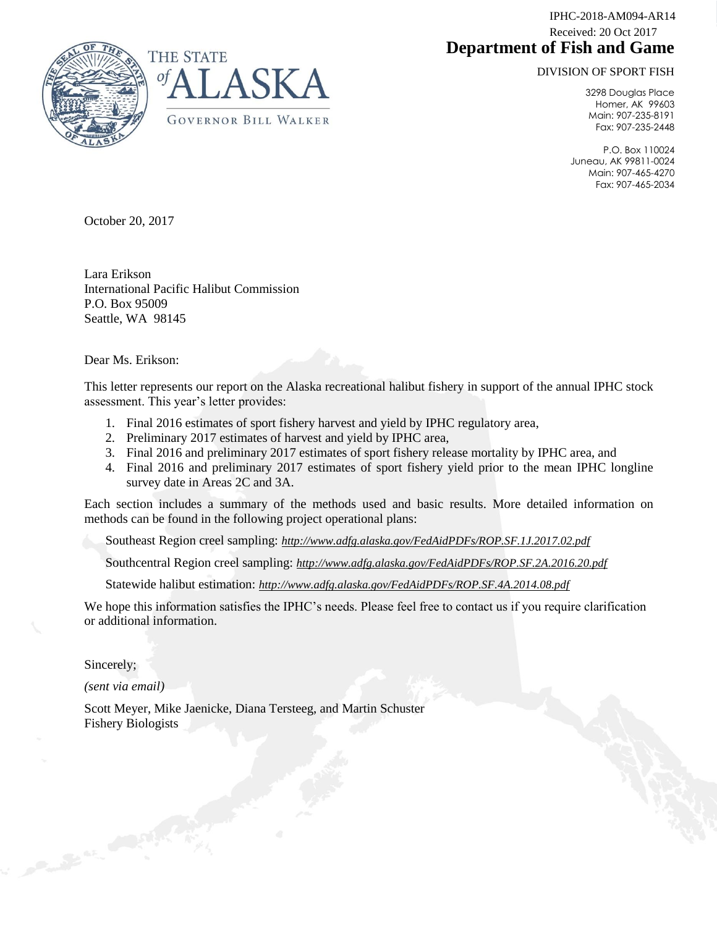**Department of Fish and Game** IPHC-2018-AM094-AR14 Received: 20 Oct 2017

DIVISION OF SPORT FISH



3298 Douglas Place Homer, AK 99603 Main: 907-235-8191 Fax: 907-235-2448

P.O. Box 110024 Juneau, AK 99811-0024 Main: 907-465-4270 Fax: 907-465-2034

October 20, 2017

Lara Erikson International Pacific Halibut Commission P.O. Box 95009 Seattle, WA 98145

Dear Ms. Erikson:

This letter represents our report on the Alaska recreational halibut fishery in support of the annual IPHC stock assessment. This year's letter provides:

- 1. Final 2016 estimates of sport fishery harvest and yield by IPHC regulatory area,
- 2. Preliminary 2017 estimates of harvest and yield by IPHC area,
- 3. Final 2016 and preliminary 2017 estimates of sport fishery release mortality by IPHC area, and
- 4. Final 2016 and preliminary 2017 estimates of sport fishery yield prior to the mean IPHC longline survey date in Areas 2C and 3A.

Each section includes a summary of the methods used and basic results. More detailed information on methods can be found in the following project operational plans:

Southeast Region creel sampling: *http://www.adfg.alaska.gov/FedAidPDFs/ROP.SF.1J.2017.02.pdf*

Southcentral Region creel sampling: *http://www.adfg.alaska.gov/FedAidPDFs/ROP.SF.2A.2016.20.pdf*

Statewide halibut estimation: *http://www.adfg.alaska.gov/FedAidPDFs/ROP.SF.4A.2014.08.pdf*

We hope this information satisfies the IPHC's needs. Please feel free to contact us if you require clarification or additional information.

Sincerely;

*(sent via email)*

Scott Meyer, Mike Jaenicke, Diana Tersteeg, and Martin Schuster Fishery Biologists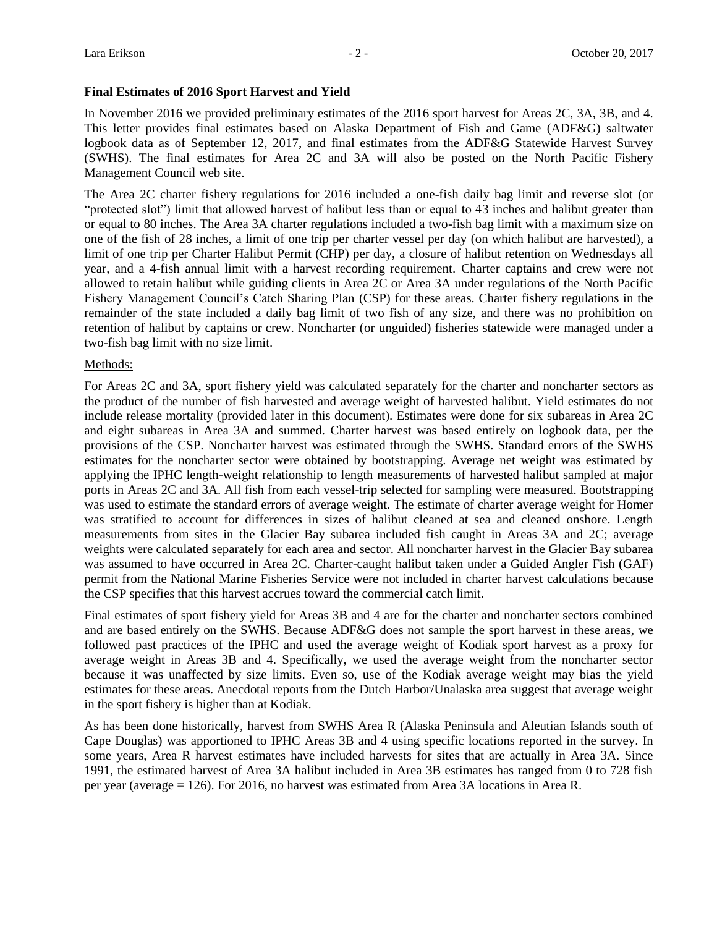#### **Final Estimates of 2016 Sport Harvest and Yield**

In November 2016 we provided preliminary estimates of the 2016 sport harvest for Areas 2C, 3A, 3B, and 4. This letter provides final estimates based on Alaska Department of Fish and Game (ADF&G) saltwater logbook data as of September 12, 2017, and final estimates from the ADF&G Statewide Harvest Survey (SWHS). The final estimates for Area 2C and 3A will also be posted on the North Pacific Fishery Management Council web site.

The Area 2C charter fishery regulations for 2016 included a one-fish daily bag limit and reverse slot (or "protected slot") limit that allowed harvest of halibut less than or equal to 43 inches and halibut greater than or equal to 80 inches. The Area 3A charter regulations included a two-fish bag limit with a maximum size on one of the fish of 28 inches, a limit of one trip per charter vessel per day (on which halibut are harvested), a limit of one trip per Charter Halibut Permit (CHP) per day, a closure of halibut retention on Wednesdays all year, and a 4-fish annual limit with a harvest recording requirement. Charter captains and crew were not allowed to retain halibut while guiding clients in Area 2C or Area 3A under regulations of the North Pacific Fishery Management Council's Catch Sharing Plan (CSP) for these areas. Charter fishery regulations in the remainder of the state included a daily bag limit of two fish of any size, and there was no prohibition on retention of halibut by captains or crew. Noncharter (or unguided) fisheries statewide were managed under a two-fish bag limit with no size limit.

# Methods:

For Areas 2C and 3A, sport fishery yield was calculated separately for the charter and noncharter sectors as the product of the number of fish harvested and average weight of harvested halibut. Yield estimates do not include release mortality (provided later in this document). Estimates were done for six subareas in Area 2C and eight subareas in Area 3A and summed. Charter harvest was based entirely on logbook data, per the provisions of the CSP. Noncharter harvest was estimated through the SWHS. Standard errors of the SWHS estimates for the noncharter sector were obtained by bootstrapping. Average net weight was estimated by applying the IPHC length-weight relationship to length measurements of harvested halibut sampled at major ports in Areas 2C and 3A. All fish from each vessel-trip selected for sampling were measured. Bootstrapping was used to estimate the standard errors of average weight. The estimate of charter average weight for Homer was stratified to account for differences in sizes of halibut cleaned at sea and cleaned onshore. Length measurements from sites in the Glacier Bay subarea included fish caught in Areas 3A and 2C; average weights were calculated separately for each area and sector. All noncharter harvest in the Glacier Bay subarea was assumed to have occurred in Area 2C. Charter-caught halibut taken under a Guided Angler Fish (GAF) permit from the National Marine Fisheries Service were not included in charter harvest calculations because the CSP specifies that this harvest accrues toward the commercial catch limit.

Final estimates of sport fishery yield for Areas 3B and 4 are for the charter and noncharter sectors combined and are based entirely on the SWHS. Because ADF&G does not sample the sport harvest in these areas, we followed past practices of the IPHC and used the average weight of Kodiak sport harvest as a proxy for average weight in Areas 3B and 4. Specifically, we used the average weight from the noncharter sector because it was unaffected by size limits. Even so, use of the Kodiak average weight may bias the yield estimates for these areas. Anecdotal reports from the Dutch Harbor/Unalaska area suggest that average weight in the sport fishery is higher than at Kodiak.

As has been done historically, harvest from SWHS Area R (Alaska Peninsula and Aleutian Islands south of Cape Douglas) was apportioned to IPHC Areas 3B and 4 using specific locations reported in the survey. In some years, Area R harvest estimates have included harvests for sites that are actually in Area 3A. Since 1991, the estimated harvest of Area 3A halibut included in Area 3B estimates has ranged from 0 to 728 fish per year (average = 126). For 2016, no harvest was estimated from Area 3A locations in Area R.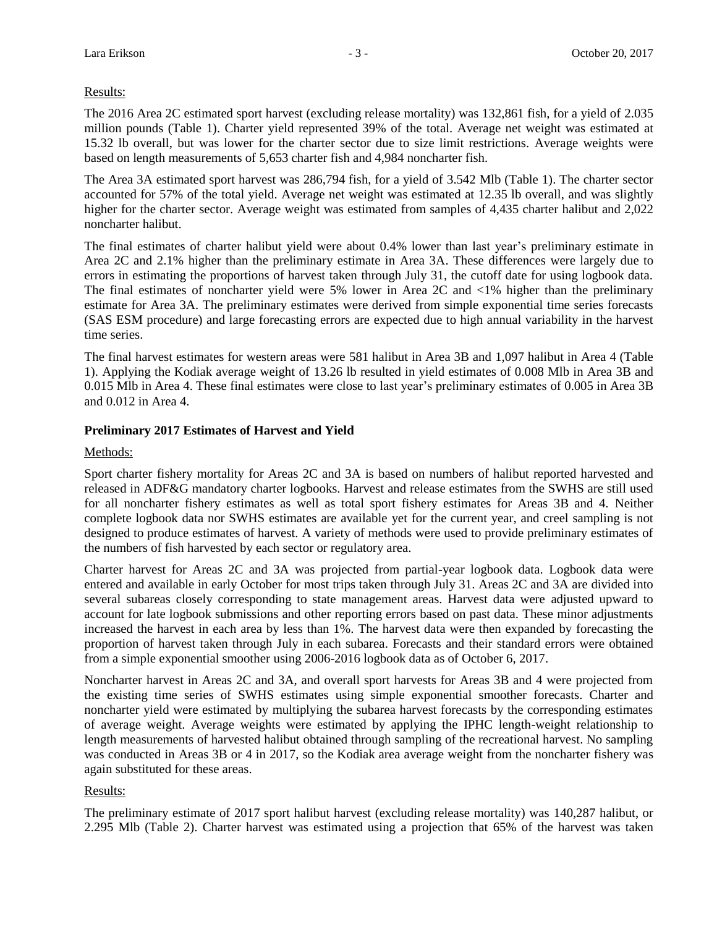#### Results:

The 2016 Area 2C estimated sport harvest (excluding release mortality) was 132,861 fish, for a yield of 2.035 million pounds (Table 1). Charter yield represented 39% of the total. Average net weight was estimated at 15.32 lb overall, but was lower for the charter sector due to size limit restrictions. Average weights were based on length measurements of 5,653 charter fish and 4,984 noncharter fish.

The Area 3A estimated sport harvest was 286,794 fish, for a yield of 3.542 Mlb (Table 1). The charter sector accounted for 57% of the total yield. Average net weight was estimated at 12.35 lb overall, and was slightly higher for the charter sector. Average weight was estimated from samples of 4,435 charter halibut and 2,022 noncharter halibut.

The final estimates of charter halibut yield were about 0.4% lower than last year's preliminary estimate in Area 2C and 2.1% higher than the preliminary estimate in Area 3A. These differences were largely due to errors in estimating the proportions of harvest taken through July 31, the cutoff date for using logbook data. The final estimates of noncharter yield were 5% lower in Area 2C and <1% higher than the preliminary estimate for Area 3A. The preliminary estimates were derived from simple exponential time series forecasts (SAS ESM procedure) and large forecasting errors are expected due to high annual variability in the harvest time series.

The final harvest estimates for western areas were 581 halibut in Area 3B and 1,097 halibut in Area 4 (Table 1). Applying the Kodiak average weight of 13.26 lb resulted in yield estimates of 0.008 Mlb in Area 3B and 0.015 Mlb in Area 4. These final estimates were close to last year's preliminary estimates of 0.005 in Area 3B and 0.012 in Area 4.

# **Preliminary 2017 Estimates of Harvest and Yield**

#### Methods:

Sport charter fishery mortality for Areas 2C and 3A is based on numbers of halibut reported harvested and released in ADF&G mandatory charter logbooks. Harvest and release estimates from the SWHS are still used for all noncharter fishery estimates as well as total sport fishery estimates for Areas 3B and 4. Neither complete logbook data nor SWHS estimates are available yet for the current year, and creel sampling is not designed to produce estimates of harvest. A variety of methods were used to provide preliminary estimates of the numbers of fish harvested by each sector or regulatory area.

Charter harvest for Areas 2C and 3A was projected from partial-year logbook data. Logbook data were entered and available in early October for most trips taken through July 31. Areas 2C and 3A are divided into several subareas closely corresponding to state management areas. Harvest data were adjusted upward to account for late logbook submissions and other reporting errors based on past data. These minor adjustments increased the harvest in each area by less than 1%. The harvest data were then expanded by forecasting the proportion of harvest taken through July in each subarea. Forecasts and their standard errors were obtained from a simple exponential smoother using 2006-2016 logbook data as of October 6, 2017.

Noncharter harvest in Areas 2C and 3A, and overall sport harvests for Areas 3B and 4 were projected from the existing time series of SWHS estimates using simple exponential smoother forecasts. Charter and noncharter yield were estimated by multiplying the subarea harvest forecasts by the corresponding estimates of average weight. Average weights were estimated by applying the IPHC length-weight relationship to length measurements of harvested halibut obtained through sampling of the recreational harvest. No sampling was conducted in Areas 3B or 4 in 2017, so the Kodiak area average weight from the noncharter fishery was again substituted for these areas.

#### Results:

The preliminary estimate of 2017 sport halibut harvest (excluding release mortality) was 140,287 halibut, or 2.295 Mlb (Table 2). Charter harvest was estimated using a projection that 65% of the harvest was taken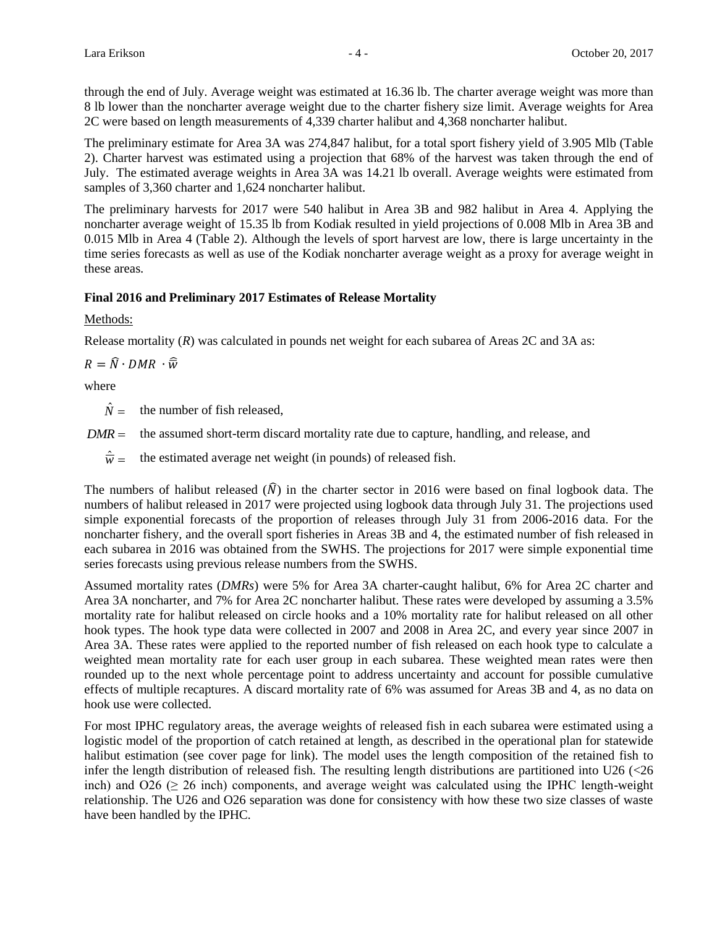through the end of July. Average weight was estimated at 16.36 lb. The charter average weight was more than 8 lb lower than the noncharter average weight due to the charter fishery size limit. Average weights for Area 2C were based on length measurements of 4,339 charter halibut and 4,368 noncharter halibut.

The preliminary estimate for Area 3A was 274,847 halibut, for a total sport fishery yield of 3.905 Mlb (Table 2). Charter harvest was estimated using a projection that 68% of the harvest was taken through the end of July. The estimated average weights in Area 3A was 14.21 lb overall. Average weights were estimated from samples of 3,360 charter and 1,624 noncharter halibut.

The preliminary harvests for 2017 were 540 halibut in Area 3B and 982 halibut in Area 4. Applying the noncharter average weight of 15.35 lb from Kodiak resulted in yield projections of 0.008 Mlb in Area 3B and 0.015 Mlb in Area 4 (Table 2). Although the levels of sport harvest are low, there is large uncertainty in the time series forecasts as well as use of the Kodiak noncharter average weight as a proxy for average weight in these areas.

# **Final 2016 and Preliminary 2017 Estimates of Release Mortality**

# Methods:

Release mortality (*R*) was calculated in pounds net weight for each subarea of Areas 2C and 3A as:

 $R = \widehat{N} \cdot DMR \cdot \widehat{\overline{w}}$ 

where

 $\hat{N} =$ the number of fish released,

 $DMR =$  the assumed short-term discard mortality rate due to capture, handling, and release, and

 $\hat{\overline{w}}$  = the estimated average net weight (in pounds) of released fish.

The numbers of halibut released  $(\hat{N})$  in the charter sector in 2016 were based on final logbook data. The numbers of halibut released in 2017 were projected using logbook data through July 31. The projections used simple exponential forecasts of the proportion of releases through July 31 from 2006-2016 data. For the noncharter fishery, and the overall sport fisheries in Areas 3B and 4, the estimated number of fish released in each subarea in 2016 was obtained from the SWHS. The projections for 2017 were simple exponential time series forecasts using previous release numbers from the SWHS.

Assumed mortality rates (*DMRs*) were 5% for Area 3A charter-caught halibut, 6% for Area 2C charter and Area 3A noncharter, and 7% for Area 2C noncharter halibut. These rates were developed by assuming a 3.5% mortality rate for halibut released on circle hooks and a 10% mortality rate for halibut released on all other hook types. The hook type data were collected in 2007 and 2008 in Area 2C, and every year since 2007 in Area 3A. These rates were applied to the reported number of fish released on each hook type to calculate a weighted mean mortality rate for each user group in each subarea. These weighted mean rates were then rounded up to the next whole percentage point to address uncertainty and account for possible cumulative effects of multiple recaptures. A discard mortality rate of 6% was assumed for Areas 3B and 4, as no data on hook use were collected.

For most IPHC regulatory areas, the average weights of released fish in each subarea were estimated using a logistic model of the proportion of catch retained at length, as described in the operational plan for statewide halibut estimation (see cover page for link). The model uses the length composition of the retained fish to infer the length distribution of released fish. The resulting length distributions are partitioned into U26 (<26 inch) and  $026 \ge 26$  inch) components, and average weight was calculated using the IPHC length-weight relationship. The U26 and O26 separation was done for consistency with how these two size classes of waste have been handled by the IPHC.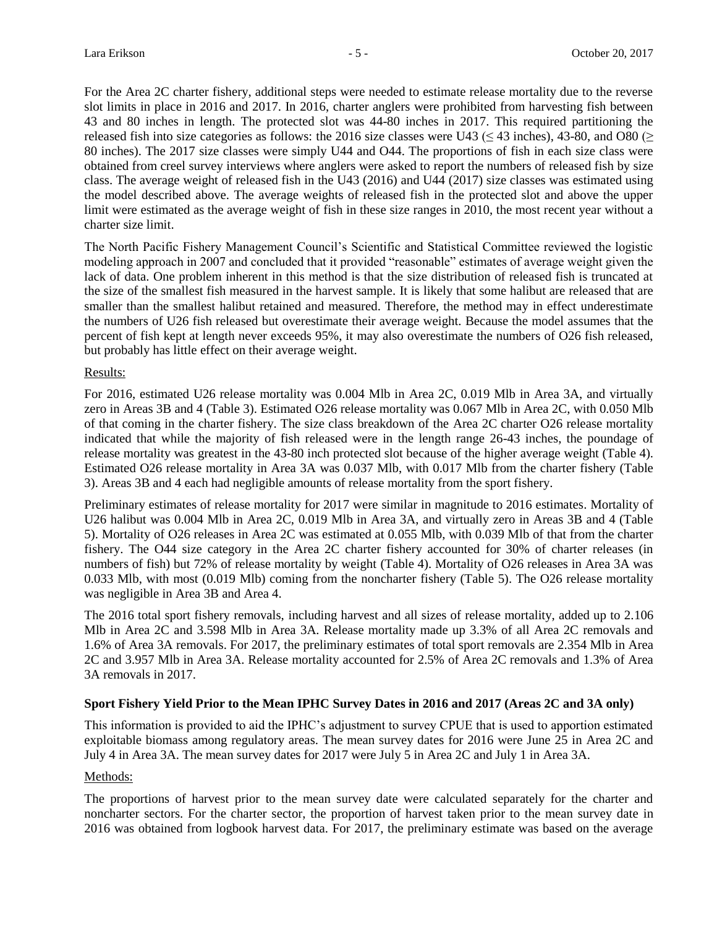For the Area 2C charter fishery, additional steps were needed to estimate release mortality due to the reverse slot limits in place in 2016 and 2017. In 2016, charter anglers were prohibited from harvesting fish between 43 and 80 inches in length. The protected slot was 44-80 inches in 2017. This required partitioning the released fish into size categories as follows: the 2016 size classes were U43 ( $\leq$  43 inches), 43-80, and O80 ( $\geq$ 80 inches). The 2017 size classes were simply U44 and O44. The proportions of fish in each size class were obtained from creel survey interviews where anglers were asked to report the numbers of released fish by size class. The average weight of released fish in the U43 (2016) and U44 (2017) size classes was estimated using the model described above. The average weights of released fish in the protected slot and above the upper limit were estimated as the average weight of fish in these size ranges in 2010, the most recent year without a charter size limit.

The North Pacific Fishery Management Council's Scientific and Statistical Committee reviewed the logistic modeling approach in 2007 and concluded that it provided "reasonable" estimates of average weight given the lack of data. One problem inherent in this method is that the size distribution of released fish is truncated at the size of the smallest fish measured in the harvest sample. It is likely that some halibut are released that are smaller than the smallest halibut retained and measured. Therefore, the method may in effect underestimate the numbers of U26 fish released but overestimate their average weight. Because the model assumes that the percent of fish kept at length never exceeds 95%, it may also overestimate the numbers of O26 fish released, but probably has little effect on their average weight.

#### Results:

For 2016, estimated U26 release mortality was 0.004 Mlb in Area 2C, 0.019 Mlb in Area 3A, and virtually zero in Areas 3B and 4 (Table 3). Estimated O26 release mortality was 0.067 Mlb in Area 2C, with 0.050 Mlb of that coming in the charter fishery. The size class breakdown of the Area 2C charter O26 release mortality indicated that while the majority of fish released were in the length range 26-43 inches, the poundage of release mortality was greatest in the 43-80 inch protected slot because of the higher average weight (Table 4). Estimated O26 release mortality in Area 3A was 0.037 Mlb, with 0.017 Mlb from the charter fishery (Table 3). Areas 3B and 4 each had negligible amounts of release mortality from the sport fishery.

Preliminary estimates of release mortality for 2017 were similar in magnitude to 2016 estimates. Mortality of U26 halibut was 0.004 Mlb in Area 2C, 0.019 Mlb in Area 3A, and virtually zero in Areas 3B and 4 (Table 5). Mortality of O26 releases in Area 2C was estimated at 0.055 Mlb, with 0.039 Mlb of that from the charter fishery. The O44 size category in the Area 2C charter fishery accounted for 30% of charter releases (in numbers of fish) but 72% of release mortality by weight (Table 4). Mortality of O26 releases in Area 3A was 0.033 Mlb, with most (0.019 Mlb) coming from the noncharter fishery (Table 5). The O26 release mortality was negligible in Area 3B and Area 4.

The 2016 total sport fishery removals, including harvest and all sizes of release mortality, added up to 2.106 Mlb in Area 2C and 3.598 Mlb in Area 3A. Release mortality made up 3.3% of all Area 2C removals and 1.6% of Area 3A removals. For 2017, the preliminary estimates of total sport removals are 2.354 Mlb in Area 2C and 3.957 Mlb in Area 3A. Release mortality accounted for 2.5% of Area 2C removals and 1.3% of Area 3A removals in 2017.

# **Sport Fishery Yield Prior to the Mean IPHC Survey Dates in 2016 and 2017 (Areas 2C and 3A only)**

This information is provided to aid the IPHC's adjustment to survey CPUE that is used to apportion estimated exploitable biomass among regulatory areas. The mean survey dates for 2016 were June 25 in Area 2C and July 4 in Area 3A. The mean survey dates for 2017 were July 5 in Area 2C and July 1 in Area 3A.

# Methods:

The proportions of harvest prior to the mean survey date were calculated separately for the charter and noncharter sectors. For the charter sector, the proportion of harvest taken prior to the mean survey date in 2016 was obtained from logbook harvest data. For 2017, the preliminary estimate was based on the average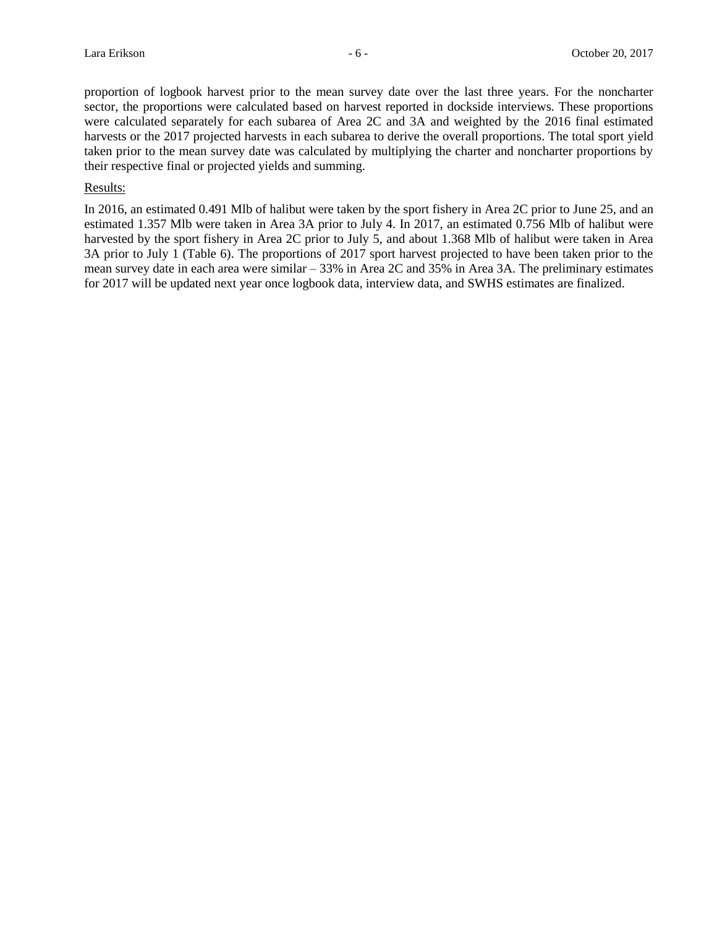proportion of logbook harvest prior to the mean survey date over the last three years. For the noncharter sector, the proportions were calculated based on harvest reported in dockside interviews. These proportions were calculated separately for each subarea of Area 2C and 3A and weighted by the 2016 final estimated harvests or the 2017 projected harvests in each subarea to derive the overall proportions. The total sport yield taken prior to the mean survey date was calculated by multiplying the charter and noncharter proportions by their respective final or projected yields and summing.

#### Results:

In 2016, an estimated 0.491 Mlb of halibut were taken by the sport fishery in Area 2C prior to June 25, and an estimated 1.357 Mlb were taken in Area 3A prior to July 4. In 2017, an estimated 0.756 Mlb of halibut were harvested by the sport fishery in Area 2C prior to July 5, and about 1.368 Mlb of halibut were taken in Area 3A prior to July 1 (Table 6). The proportions of 2017 sport harvest projected to have been taken prior to the mean survey date in each area were similar – 33% in Area 2C and 35% in Area 3A. The preliminary estimates for 2017 will be updated next year once logbook data, interview data, and SWHS estimates are finalized.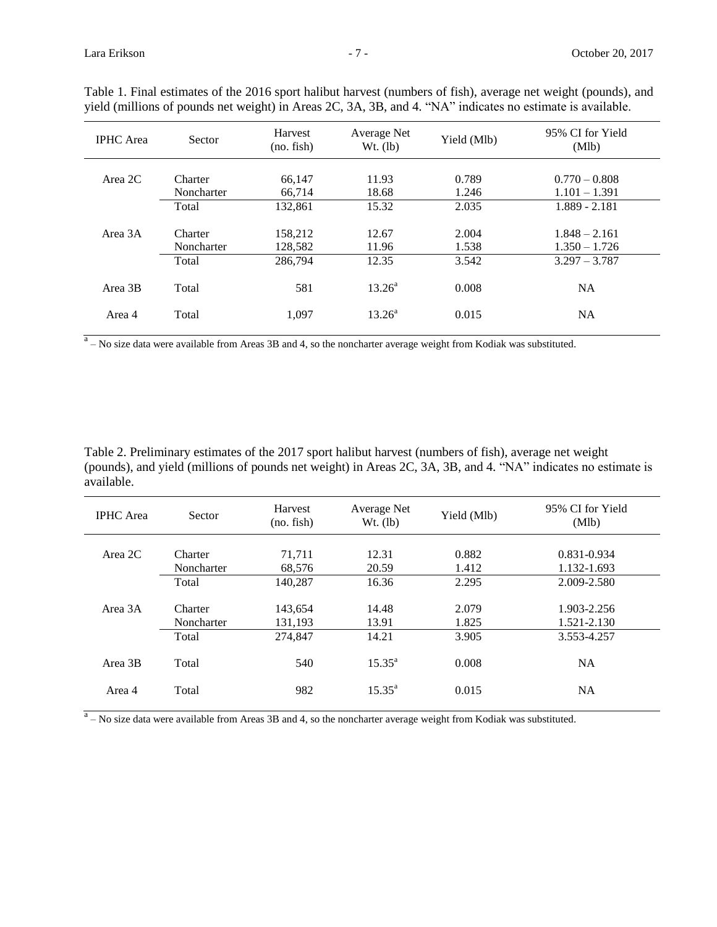| <b>IPHC</b> Area | <b>Sector</b>         | Harvest<br>(no. fish) | Average Net<br>$Wt.$ (lb) | Yield (Mlb)    | 95% CI for Yield<br>(Mlb)          |
|------------------|-----------------------|-----------------------|---------------------------|----------------|------------------------------------|
| Area $2C$        | Charter<br>Noncharter | 66,147<br>66,714      | 11.93<br>18.68            | 0.789<br>1.246 | $0.770 - 0.808$<br>$1.101 - 1.391$ |
|                  | Total                 | 132,861               | 15.32                     | 2.035          | $1.889 - 2.181$                    |
| Area 3A          | Charter<br>Noncharter | 158,212<br>128,582    | 12.67<br>11.96            | 2.004<br>1.538 | $1.848 - 2.161$<br>$1.350 - 1.726$ |
|                  | Total                 | 286,794               | 12.35                     | 3.542          | $3.297 - 3.787$                    |
| Area 3B          | Total                 | 581                   | $13.26^{\circ}$           | 0.008          | <b>NA</b>                          |
| Area 4           | Total                 | 1.097                 | $13.26^{\circ}$           | 0.015          | <b>NA</b>                          |

Table 1. Final estimates of the 2016 sport halibut harvest (numbers of fish), average net weight (pounds), and yield (millions of pounds net weight) in Areas 2C, 3A, 3B, and 4. "NA" indicates no estimate is available.

 $a<sup>a</sup>$  – No size data were available from Areas 3B and 4, so the noncharter average weight from Kodiak was substituted.

Table 2. Preliminary estimates of the 2017 sport halibut harvest (numbers of fish), average net weight (pounds), and yield (millions of pounds net weight) in Areas 2C, 3A, 3B, and 4. "NA" indicates no estimate is available.

| <b>IPHC</b> Area | Sector                | Harvest<br>(no. fish) | Average Net<br>$Wt.$ (lb) | Yield (Mlb)    | 95% CI for Yield<br>(Mlb)  |
|------------------|-----------------------|-----------------------|---------------------------|----------------|----------------------------|
| Area 2C          | Charter<br>Noncharter | 71.711<br>68,576      | 12.31<br>20.59            | 0.882<br>1.412 | 0.831-0.934<br>1.132-1.693 |
|                  | Total                 | 140.287               | 16.36                     | 2.295          | 2.009-2.580                |
| Area 3A          | Charter<br>Noncharter | 143,654<br>131.193    | 14.48<br>13.91            | 2.079<br>1.825 | 1.903-2.256<br>1.521-2.130 |
|                  | Total                 | 274,847               | 14.21                     | 3.905          | 3.553-4.257                |
| Area 3B          | Total                 | 540                   | $15.35^{\circ}$           | 0.008          | <b>NA</b>                  |
| Area 4           | Total                 | 982                   | $15.35^{a}$               | 0.015          | <b>NA</b>                  |

 $a<sup>a</sup>$  – No size data were available from Areas 3B and 4, so the noncharter average weight from Kodiak was substituted.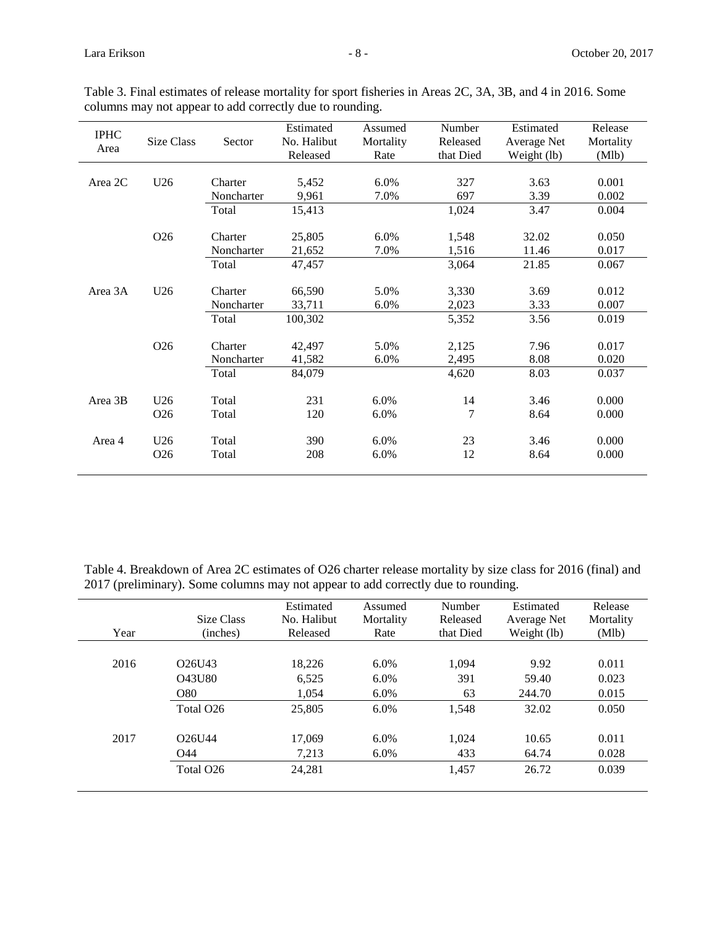| <b>IPHC</b><br>Area | Size Class                         | Sector                | Estimated<br>No. Halibut<br>Released | Assumed<br>Mortality<br>Rate | Number<br>Released<br>that Died | Estimated<br>Average Net<br>Weight (lb) | Release<br>Mortality<br>(Mlb) |
|---------------------|------------------------------------|-----------------------|--------------------------------------|------------------------------|---------------------------------|-----------------------------------------|-------------------------------|
| Area 2C             | U26                                |                       | 5,452<br>9,961                       | 6.0%<br>7.0%                 | 327<br>697                      | 3.63<br>3.39                            | 0.001<br>0.002                |
|                     |                                    | Total                 | 15,413                               |                              | 1,024                           | 3.47                                    | 0.004                         |
|                     | O <sub>26</sub>                    | Charter<br>Noncharter | 25,805<br>21,652                     | 6.0%<br>7.0%                 | 1,548<br>1,516                  | 32.02<br>11.46                          | 0.050<br>0.017                |
|                     |                                    | Total                 | 47,457                               |                              | 3,064                           | 21.85                                   | 0.067                         |
| Area 3A             | U <sub>26</sub>                    | Charter<br>Noncharter | 66,590<br>33,711                     | 5.0%<br>6.0%                 | 3,330<br>2,023                  | 3.69<br>3.33                            | 0.012<br>0.007                |
|                     |                                    | Total                 | 100,302                              |                              | 5,352                           | 3.56                                    | 0.019                         |
|                     | O <sub>26</sub>                    | Charter<br>Noncharter | 42,497<br>41,582                     | 5.0%<br>6.0%                 | 2,125<br>2,495                  | 7.96<br>8.08                            | 0.017<br>0.020                |
|                     |                                    | Total                 | 84,079                               |                              | 4,620                           | 8.03                                    | 0.037                         |
| Area 3B             | U26<br>O <sub>26</sub>             | Total<br>Total        | 231<br>120                           | 6.0%<br>6.0%                 | 14<br>7                         | 3.46<br>8.64                            | 0.000<br>0.000                |
| Area 4              | U <sub>26</sub><br>O <sub>26</sub> | Total<br>Total        | 390<br>208                           | $6.0\%$<br>6.0%              | 23<br>12                        | 3.46<br>8.64                            | 0.000<br>0.000                |

Table 3. Final estimates of release mortality for sport fisheries in Areas 2C, 3A, 3B, and 4 in 2016. Some columns may not appear to add correctly due to rounding.

Table 4. Breakdown of Area 2C estimates of O26 charter release mortality by size class for 2016 (final) and 2017 (preliminary). Some columns may not appear to add correctly due to rounding.

| Year | Size Class<br>(inches)          | Estimated<br>No. Halibut<br>Released | Assumed<br>Mortality<br>Rate | Number<br>Released<br>that Died | Estimated<br>Average Net<br>Weight (lb) | Release<br>Mortality<br>(M1b) |
|------|---------------------------------|--------------------------------------|------------------------------|---------------------------------|-----------------------------------------|-------------------------------|
|      |                                 |                                      |                              |                                 |                                         |                               |
| 2016 | O <sub>26</sub> U <sub>43</sub> | 18.226                               | 6.0%                         | 1,094                           | 9.92                                    | 0.011                         |
|      | Q43U80                          | 6,525                                | 6.0%                         | 391                             | 59.40                                   | 0.023                         |
|      | O80                             | 1.054                                | $6.0\%$                      | 63                              | 244.70                                  | 0.015                         |
|      | Total O <sub>26</sub>           | 25,805                               | 6.0%                         | 1,548                           | 32.02                                   | 0.050                         |
| 2017 | O <sub>26</sub> U <sub>44</sub> | 17,069                               | 6.0%                         | 1,024                           | 10.65                                   | 0.011                         |
|      | O44                             | 7,213                                | $6.0\%$                      | 433                             | 64.74                                   | 0.028                         |
|      | Total O <sub>26</sub>           | 24,281                               |                              | 1,457                           | 26.72                                   | 0.039                         |